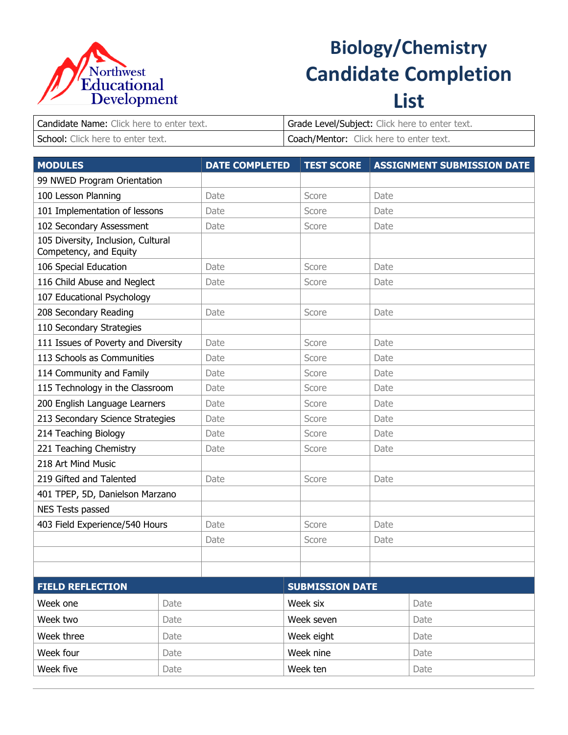

## **Biology/Chemistry Candidate Completion List**

| Candidate Name: Click here to enter text. | Grade Level/Subject: Click here to enter text. |
|-------------------------------------------|------------------------------------------------|
| School: Click here to enter text.         | Coach/Mentor: Click here to enter text.        |

| <b>MODULES</b>                                               |      | <b>DATE COMPLETED</b> | <b>TEST SCORE</b>      |      | <b>ASSIGNMENT SUBMISSION DATE</b> |  |
|--------------------------------------------------------------|------|-----------------------|------------------------|------|-----------------------------------|--|
| 99 NWED Program Orientation                                  |      |                       |                        |      |                                   |  |
| 100 Lesson Planning                                          |      | Date                  | Score                  | Date |                                   |  |
| 101 Implementation of lessons                                |      | Date                  | Score                  | Date |                                   |  |
| 102 Secondary Assessment                                     |      | Date                  | Score                  | Date |                                   |  |
| 105 Diversity, Inclusion, Cultural<br>Competency, and Equity |      |                       |                        |      |                                   |  |
| 106 Special Education                                        |      | Date                  | Score                  | Date |                                   |  |
| 116 Child Abuse and Neglect                                  |      | Date                  | Score                  | Date |                                   |  |
| 107 Educational Psychology                                   |      |                       |                        |      |                                   |  |
| 208 Secondary Reading                                        |      | Date                  | Score                  | Date |                                   |  |
| 110 Secondary Strategies                                     |      |                       |                        |      |                                   |  |
| 111 Issues of Poverty and Diversity                          |      | Date                  | Score                  | Date |                                   |  |
| 113 Schools as Communities                                   |      | Date                  | Score                  | Date |                                   |  |
| 114 Community and Family                                     |      | Date                  | Score                  | Date |                                   |  |
| 115 Technology in the Classroom                              |      | Date                  | Score                  | Date |                                   |  |
| 200 English Language Learners                                |      | Date                  | Score                  | Date |                                   |  |
| 213 Secondary Science Strategies                             |      | Date                  | Score                  | Date |                                   |  |
| 214 Teaching Biology                                         |      | Date                  | Score                  | Date |                                   |  |
| 221 Teaching Chemistry                                       |      | Date                  | Score                  | Date |                                   |  |
| 218 Art Mind Music                                           |      |                       |                        |      |                                   |  |
| 219 Gifted and Talented                                      |      | Date                  | Score                  | Date |                                   |  |
| 401 TPEP, 5D, Danielson Marzano                              |      |                       |                        |      |                                   |  |
| NES Tests passed                                             |      |                       |                        |      |                                   |  |
| 403 Field Experience/540 Hours                               |      | Date                  | Score                  | Date |                                   |  |
|                                                              |      | Date                  | Score                  | Date |                                   |  |
|                                                              |      |                       |                        |      |                                   |  |
|                                                              |      |                       |                        |      |                                   |  |
| <b>FIELD REFLECTION</b>                                      |      |                       | <b>SUBMISSION DATE</b> |      |                                   |  |
| Week one                                                     | Date |                       | Week six               |      | Date                              |  |
| Week two                                                     | Date |                       | Week seven             |      | Date                              |  |
| Week three                                                   | Date |                       | Week eight             |      | Date                              |  |
| Week four                                                    | Date |                       | Week nine              |      | Date                              |  |
| Week five                                                    | Date |                       | Week ten               |      | Date                              |  |